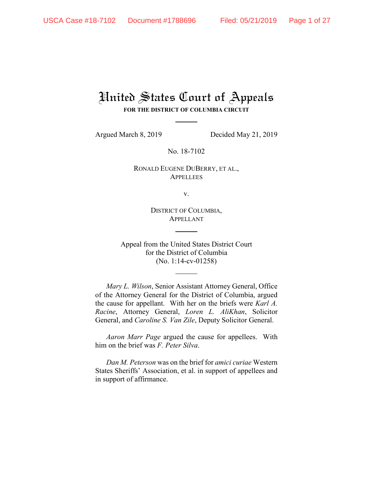# United States Court of Appeals **FOR THE DISTRICT OF COLUMBIA CIRCUIT**

Argued March 8, 2019 Decided May 21, 2019

No. 18-7102

RONALD EUGENE DUBERRY, ET AL., **APPELLEES** 

v.

DISTRICT OF COLUMBIA, APPELLANT

Appeal from the United States District Court for the District of Columbia (No. 1:14-cv-01258)

*Mary L. Wilson*, Senior Assistant Attorney General, Office of the Attorney General for the District of Columbia, argued the cause for appellant. With her on the briefs were *Karl A. Racine*, Attorney General, *Loren L. AliKhan*, Solicitor General, and *Caroline S. Van Zile*, Deputy Solicitor General.

*Aaron Marr Page* argued the cause for appellees. With him on the brief was *F. Peter Silva*.

*Dan M. Peterson* was on the brief for *amici curiae* Western States Sheriffs' Association, et al. in support of appellees and in support of affirmance.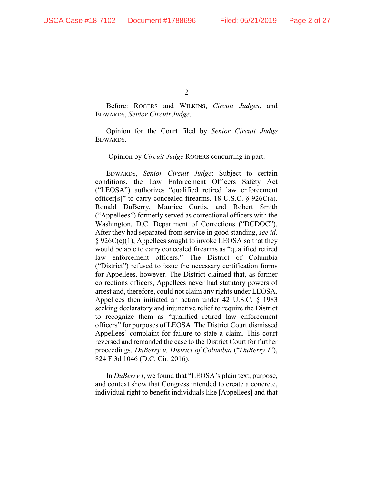Before: ROGERS and WILKINS, *Circuit Judges*, and EDWARDS, *Senior Circuit Judge*.

Opinion for the Court filed by *Senior Circuit Judge* EDWARDS.

Opinion by *Circuit Judge* ROGERS concurring in part.

EDWARDS, *Senior Circuit Judge*: Subject to certain conditions, the Law Enforcement Officers Safety Act ("LEOSA") authorizes "qualified retired law enforcement officer[s]" to carry concealed firearms. 18 U.S.C.  $\S$  926C(a). Ronald DuBerry, Maurice Curtis, and Robert Smith ("Appellees") formerly served as correctional officers with the Washington, D.C. Department of Corrections ("DCDOC"). After they had separated from service in good standing, *see id.* § 926C(c)(1), Appellees sought to invoke LEOSA so that they would be able to carry concealed firearms as "qualified retired law enforcement officers." The District of Columbia ("District") refused to issue the necessary certification forms for Appellees, however. The District claimed that, as former corrections officers, Appellees never had statutory powers of arrest and, therefore, could not claim any rights under LEOSA. Appellees then initiated an action under 42 U.S.C. § 1983 seeking declaratory and injunctive relief to require the District to recognize them as "qualified retired law enforcement officers" for purposes of LEOSA. The District Court dismissed Appellees' complaint for failure to state a claim. This court reversed and remanded the case to the District Court for further proceedings. *DuBerry v. District of Columbia* ("*DuBerry I*"), 824 F.3d 1046 (D.C. Cir. 2016).

In *DuBerry I*, we found that "LEOSA's plain text, purpose, and context show that Congress intended to create a concrete, individual right to benefit individuals like [Appellees] and that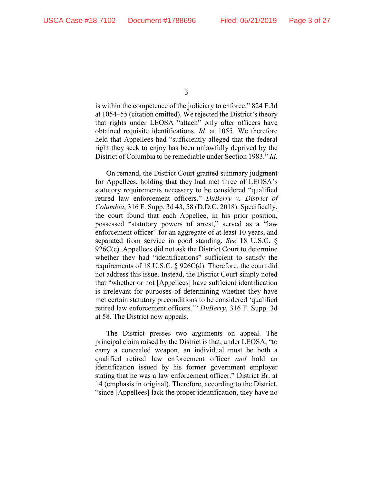is within the competence of the judiciary to enforce." 824 F.3d at 1054–55 (citation omitted). We rejected the District's theory that rights under LEOSA "attach" only after officers have obtained requisite identifications. *Id.* at 1055. We therefore held that Appellees had "sufficiently alleged that the federal right they seek to enjoy has been unlawfully deprived by the District of Columbia to be remediable under Section 1983." *Id.*

On remand, the District Court granted summary judgment for Appellees, holding that they had met three of LEOSA's statutory requirements necessary to be considered "qualified retired law enforcement officers." *DuBerry v. District of Columbia*, 316 F. Supp. 3d 43, 58 (D.D.C. 2018). Specifically, the court found that each Appellee, in his prior position, possessed "statutory powers of arrest," served as a "law enforcement officer" for an aggregate of at least 10 years, and separated from service in good standing. *See* 18 U.S.C. § 926C(c). Appellees did not ask the District Court to determine whether they had "identifications" sufficient to satisfy the requirements of 18 U.S.C. § 926C(d). Therefore, the court did not address this issue. Instead, the District Court simply noted that "whether or not [Appellees] have sufficient identification is irrelevant for purposes of determining whether they have met certain statutory preconditions to be considered 'qualified retired law enforcement officers.'" *DuBerry*, 316 F. Supp. 3d at 58. The District now appeals.

The District presses two arguments on appeal. The principal claim raised by the District is that, under LEOSA, "to carry a concealed weapon, an individual must be both a qualified retired law enforcement officer *and* hold an identification issued by his former government employer stating that he was a law enforcement officer." District Br. at 14 (emphasis in original). Therefore, according to the District, "since [Appellees] lack the proper identification, they have no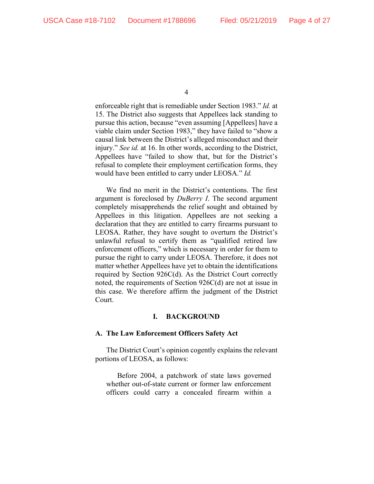enforceable right that is remediable under Section 1983." *Id.* at 15. The District also suggests that Appellees lack standing to pursue this action, because "even assuming [Appellees] have a viable claim under Section 1983," they have failed to "show a causal link between the District's alleged misconduct and their injury." *See id.* at 16. In other words, according to the District, Appellees have "failed to show that, but for the District's refusal to complete their employment certification forms, they would have been entitled to carry under LEOSA." *Id.*

We find no merit in the District's contentions. The first argument is foreclosed by *DuBerry I*. The second argument completely misapprehends the relief sought and obtained by Appellees in this litigation. Appellees are not seeking a declaration that they are entitled to carry firearms pursuant to LEOSA. Rather, they have sought to overturn the District's unlawful refusal to certify them as "qualified retired law enforcement officers," which is necessary in order for them to pursue the right to carry under LEOSA. Therefore, it does not matter whether Appellees have yet to obtain the identifications required by Section 926C(d). As the District Court correctly noted, the requirements of Section 926C(d) are not at issue in this case. We therefore affirm the judgment of the District Court.

#### **I. BACKGROUND**

#### **A. The Law Enforcement Officers Safety Act**

The District Court's opinion cogently explains the relevant portions of LEOSA, as follows:

Before 2004, a patchwork of state laws governed whether out-of-state current or former law enforcement officers could carry a concealed firearm within a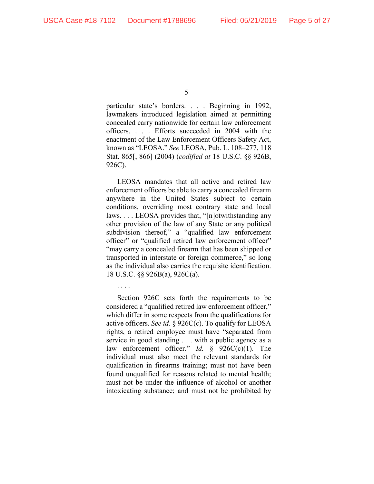particular state's borders. . . . Beginning in 1992, lawmakers introduced legislation aimed at permitting concealed carry nationwide for certain law enforcement officers. . . . Efforts succeeded in 2004 with the enactment of the Law Enforcement Officers Safety Act, known as "LEOSA." *See* LEOSA, Pub. L. 108–277, 118 Stat. 865[, 866] (2004) (*codified at* 18 U.S.C. §§ 926B, 926C).

LEOSA mandates that all active and retired law enforcement officers be able to carry a concealed firearm anywhere in the United States subject to certain conditions, overriding most contrary state and local laws. . . . LEOSA provides that, "[n]otwithstanding any other provision of the law of any State or any political subdivision thereof," a "qualified law enforcement officer" or "qualified retired law enforcement officer" "may carry a concealed firearm that has been shipped or transported in interstate or foreign commerce," so long as the individual also carries the requisite identification. 18 U.S.C. §§ 926B(a), 926C(a).

. . . .

Section 926C sets forth the requirements to be considered a "qualified retired law enforcement officer," which differ in some respects from the qualifications for active officers. *See id.* § 926C(c). To qualify for LEOSA rights, a retired employee must have "separated from service in good standing . . . with a public agency as a law enforcement officer." *Id.* § 926C(c)(1). The individual must also meet the relevant standards for qualification in firearms training; must not have been found unqualified for reasons related to mental health; must not be under the influence of alcohol or another intoxicating substance; and must not be prohibited by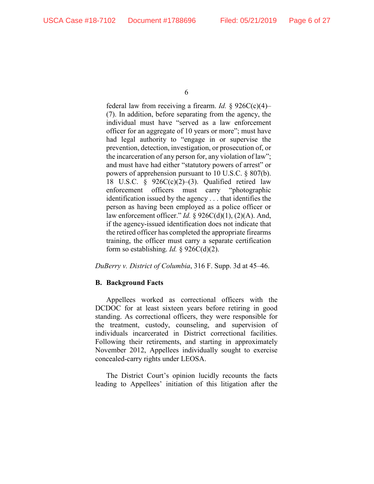federal law from receiving a firearm. *Id.* § 926C(c)(4)– (7). In addition, before separating from the agency, the individual must have "served as a law enforcement officer for an aggregate of 10 years or more"; must have had legal authority to "engage in or supervise the prevention, detection, investigation, or prosecution of, or the incarceration of any person for, any violation of law"; and must have had either "statutory powers of arrest" or powers of apprehension pursuant to 10 U.S.C. § 807(b). 18 U.S.C. §  $926C(c)(2)$ –(3). Qualified retired law enforcement officers must carry "photographic identification issued by the agency . . . that identifies the person as having been employed as a police officer or law enforcement officer." *Id.* § 926C(d)(1), (2)(A). And, if the agency-issued identification does not indicate that the retired officer has completed the appropriate firearms training, the officer must carry a separate certification form so establishing. *Id.*  $\S$  926C(d)(2).

*DuBerry v. District of Columbia*, 316 F. Supp. 3d at 45–46.

# **B. Background Facts**

Appellees worked as correctional officers with the DCDOC for at least sixteen years before retiring in good standing. As correctional officers, they were responsible for the treatment, custody, counseling, and supervision of individuals incarcerated in District correctional facilities. Following their retirements, and starting in approximately November 2012, Appellees individually sought to exercise concealed-carry rights under LEOSA.

The District Court's opinion lucidly recounts the facts leading to Appellees' initiation of this litigation after the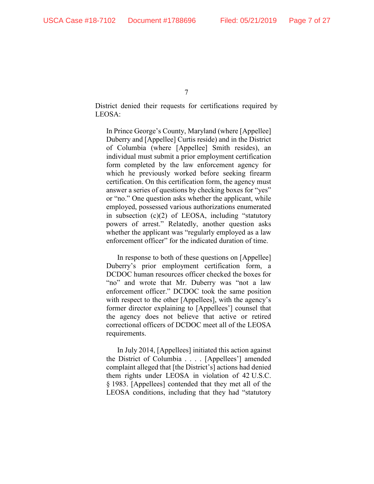District denied their requests for certifications required by LEOSA:

In Prince George's County, Maryland (where [Appellee] Duberry and [Appellee] Curtis reside) and in the District of Columbia (where [Appellee] Smith resides), an individual must submit a prior employment certification form completed by the law enforcement agency for which he previously worked before seeking firearm certification. On this certification form, the agency must answer a series of questions by checking boxes for "yes" or "no." One question asks whether the applicant, while employed, possessed various authorizations enumerated in subsection (c)(2) of LEOSA, including "statutory powers of arrest." Relatedly, another question asks whether the applicant was "regularly employed as a law enforcement officer" for the indicated duration of time.

In response to both of these questions on [Appellee] Duberry's prior employment certification form, a DCDOC human resources officer checked the boxes for "no" and wrote that Mr. Duberry was "not a law enforcement officer." DCDOC took the same position with respect to the other [Appellees], with the agency's former director explaining to [Appellees'] counsel that the agency does not believe that active or retired correctional officers of DCDOC meet all of the LEOSA requirements.

In July 2014, [Appellees] initiated this action against the District of Columbia . . . . [Appellees'] amended complaint alleged that [the District's] actions had denied them rights under LEOSA in violation of 42 U.S.C. § 1983. [Appellees] contended that they met all of the LEOSA conditions, including that they had "statutory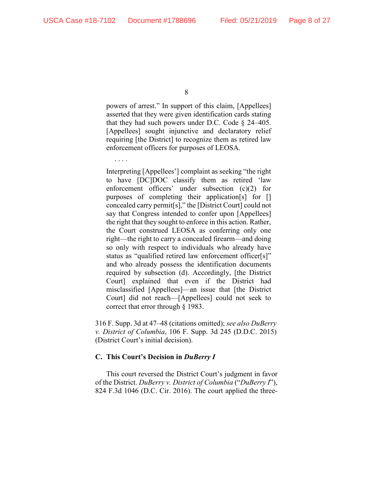. . . .

8

powers of arrest." In support of this claim, [Appellees] asserted that they were given identification cards stating that they had such powers under D.C. Code  $\S$  24–405. [Appellees] sought injunctive and declaratory relief requiring [the District] to recognize them as retired law enforcement officers for purposes of LEOSA.

Interpreting [Appellees'] complaint as seeking "the right to have [DC]DOC classify them as retired 'law enforcement officers' under subsection (c)(2) for purposes of completing their application[s] for [] concealed carry permit[s]," the [District Court] could not say that Congress intended to confer upon [Appellees] the right that they sought to enforce in this action. Rather, the Court construed LEOSA as conferring only one right—the right to carry a concealed firearm—and doing so only with respect to individuals who already have status as "qualified retired law enforcement officer[s]" and who already possess the identification documents required by subsection (d). Accordingly, [the District Court] explained that even if the District had misclassified [Appellees]—an issue that [the District Court] did not reach—[Appellees] could not seek to correct that error through § 1983.

316 F. Supp. 3d at 47–48 (citations omitted); *see also DuBerry v. District of Columbia*, 106 F. Supp. 3d 245 (D.D.C. 2015) (District Court's initial decision).

# **C. This Court's Decision in** *DuBerry I*

This court reversed the District Court's judgment in favor of the District. *DuBerry v. District of Columbia* ("*DuBerry I*"), 824 F.3d 1046 (D.C. Cir. 2016). The court applied the three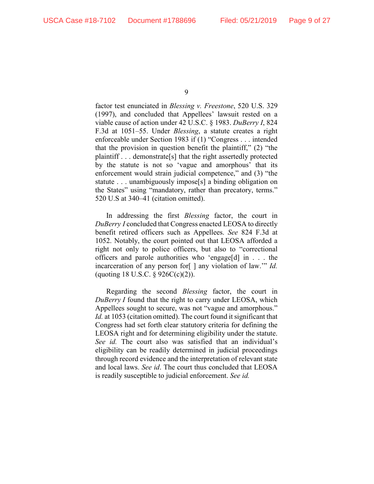factor test enunciated in *Blessing v. Freestone*, 520 U.S. 329 (1997), and concluded that Appellees' lawsuit rested on a viable cause of action under 42 U.S.C. § 1983. *DuBerry I*, 824 F.3d at 1051–55. Under *Blessing*, a statute creates a right enforceable under Section 1983 if (1) "Congress . . . intended that the provision in question benefit the plaintiff," (2) "the plaintiff . . . demonstrate[s] that the right assertedly protected by the statute is not so 'vague and amorphous' that its enforcement would strain judicial competence," and (3) "the statute . . . unambiguously impose[s] a binding obligation on the States" using "mandatory, rather than precatory, terms." 520 U.S at 340–41 (citation omitted).

In addressing the first *Blessing* factor, the court in *DuBerry I* concluded that Congress enacted LEOSA to directly benefit retired officers such as Appellees. *See* 824 F.3d at 1052. Notably, the court pointed out that LEOSA afforded a right not only to police officers, but also to "correctional officers and parole authorities who 'engage[d] in . . . the incarceration of any person for[ ] any violation of law.'" *Id.* (quoting 18 U.S.C.  $\S$  926C(c)(2)).

Regarding the second *Blessing* factor, the court in *DuBerry I* found that the right to carry under LEOSA, which Appellees sought to secure, was not "vague and amorphous." *Id.* at 1053 (citation omitted). The court found it significant that Congress had set forth clear statutory criteria for defining the LEOSA right and for determining eligibility under the statute. *See id.* The court also was satisfied that an individual's eligibility can be readily determined in judicial proceedings through record evidence and the interpretation of relevant state and local laws. *See id*. The court thus concluded that LEOSA is readily susceptible to judicial enforcement. *See id.*

<sup>9</sup>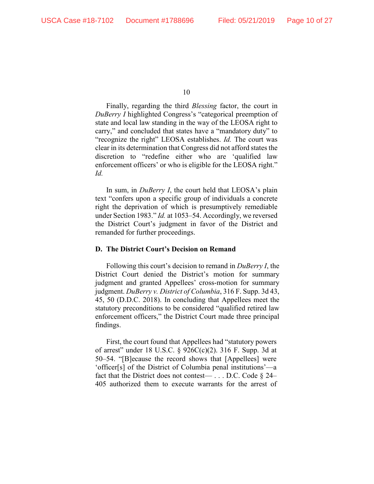Finally, regarding the third *Blessing* factor, the court in *DuBerry I* highlighted Congress's "categorical preemption of state and local law standing in the way of the LEOSA right to carry," and concluded that states have a "mandatory duty" to "recognize the right" LEOSA establishes. *Id.* The court was clear in its determination that Congress did not afford states the discretion to "redefine either who are 'qualified law enforcement officers' or who is eligible for the LEOSA right." *Id.* 

In sum, in *DuBerry I*, the court held that LEOSA's plain text "confers upon a specific group of individuals a concrete right the deprivation of which is presumptively remediable under Section 1983." *Id.* at 1053–54. Accordingly, we reversed the District Court's judgment in favor of the District and remanded for further proceedings.

## **D. The District Court's Decision on Remand**

Following this court's decision to remand in *DuBerry I*, the District Court denied the District's motion for summary judgment and granted Appellees' cross-motion for summary judgment. *DuBerry v. District of Columbia*, 316 F. Supp. 3d 43, 45, 50 (D.D.C. 2018). In concluding that Appellees meet the statutory preconditions to be considered "qualified retired law enforcement officers," the District Court made three principal findings.

First, the court found that Appellees had "statutory powers of arrest" under 18 U.S.C. § 926C(c)(2). 316 F. Supp. 3d at 50–54. "[B]ecause the record shows that [Appellees] were 'officer[s] of the District of Columbia penal institutions'—a fact that the District does not contest— ... D.C. Code  $\S$  24– 405 authorized them to execute warrants for the arrest of

<sup>10</sup>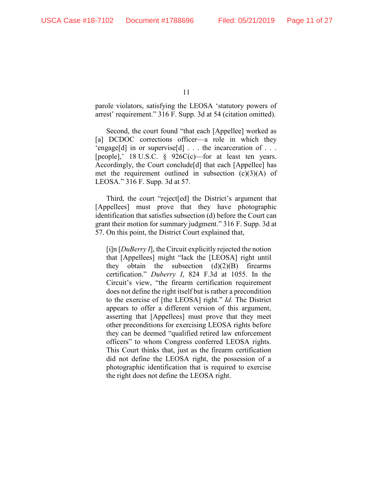parole violators, satisfying the LEOSA 'statutory powers of arrest' requirement." 316 F. Supp. 3d at 54 (citation omitted).

Second, the court found "that each [Appellee] worked as [a] DCDOC corrections officer—a role in which they 'engage[d] in or supervise[d]  $\dots$  the incarceration of  $\dots$ [people],' 18 U.S.C. § 926C(c)—for at least ten years. Accordingly, the Court conclude[d] that each [Appellee] has met the requirement outlined in subsection  $(c)(3)(A)$  of LEOSA." 316 F. Supp. 3d at 57.

Third, the court "reject[ed] the District's argument that [Appellees] must prove that they have photographic identification that satisfies subsection (d) before the Court can grant their motion for summary judgment." 316 F. Supp. 3d at 57. On this point, the District Court explained that,

[i]n [*DuBerry I*], the Circuit explicitly rejected the notion that [Appellees] might "lack the [LEOSA] right until they obtain the subsection  $(d)(2)(B)$  firearms certification." *Duberry I*, 824 F.3d at 1055. In the Circuit's view, "the firearm certification requirement does not define the right itself but is rather a precondition to the exercise of [the LEOSA] right." *Id.* The District appears to offer a different version of this argument, asserting that [Appellees] must prove that they meet other preconditions for exercising LEOSA rights before they can be deemed "qualified retired law enforcement officers" to whom Congress conferred LEOSA rights. This Court thinks that, just as the firearm certification did not define the LEOSA right, the possession of a photographic identification that is required to exercise the right does not define the LEOSA right.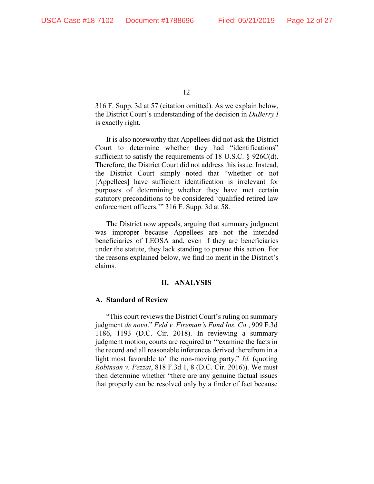316 F. Supp. 3d at 57 (citation omitted). As we explain below, the District Court's understanding of the decision in *DuBerry I* is exactly right.

It is also noteworthy that Appellees did not ask the District Court to determine whether they had "identifications" sufficient to satisfy the requirements of 18 U.S.C. § 926C(d). Therefore, the District Court did not address this issue. Instead, the District Court simply noted that "whether or not [Appellees] have sufficient identification is irrelevant for purposes of determining whether they have met certain statutory preconditions to be considered 'qualified retired law enforcement officers.'" 316 F. Supp. 3d at 58.

The District now appeals, arguing that summary judgment was improper because Appellees are not the intended beneficiaries of LEOSA and, even if they are beneficiaries under the statute, they lack standing to pursue this action. For the reasons explained below, we find no merit in the District's claims.

### **II. ANALYSIS**

#### **A. Standard of Review**

"This court reviews the District Court's ruling on summary judgment *de novo*." *Feld v. Fireman's Fund Ins. Co.*, 909 F.3d 1186, 1193 (D.C. Cir. 2018). In reviewing a summary judgment motion, courts are required to '"examine the facts in the record and all reasonable inferences derived therefrom in a light most favorable to' the non-moving party." *Id.* (quoting *Robinson v. Pezzat*, 818 F.3d 1, 8 (D.C. Cir. 2016)). We must then determine whether "there are any genuine factual issues that properly can be resolved only by a finder of fact because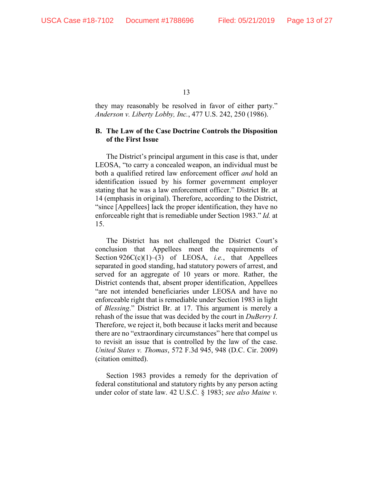they may reasonably be resolved in favor of either party." *Anderson v. Liberty Lobby, Inc.*, 477 U.S. 242, 250 (1986).

# **B. The Law of the Case Doctrine Controls the Disposition of the First Issue**

The District's principal argument in this case is that, under LEOSA, "to carry a concealed weapon, an individual must be both a qualified retired law enforcement officer *and* hold an identification issued by his former government employer stating that he was a law enforcement officer." District Br. at 14 (emphasis in original). Therefore, according to the District, "since [Appellees] lack the proper identification, they have no enforceable right that is remediable under Section 1983." *Id.* at 15.

The District has not challenged the District Court's conclusion that Appellees meet the requirements of Section 926C(c)(1)–(3) of LEOSA, *i.e.*, that Appellees separated in good standing, had statutory powers of arrest, and served for an aggregate of 10 years or more. Rather, the District contends that, absent proper identification, Appellees "are not intended beneficiaries under LEOSA and have no enforceable right that is remediable under Section 1983 in light of *Blessing*." District Br. at 17. This argument is merely a rehash of the issue that was decided by the court in *DuBerry I*. Therefore, we reject it, both because it lacks merit and because there are no "extraordinary circumstances" here that compel us to revisit an issue that is controlled by the law of the case. *United States v. Thomas*, 572 F.3d 945, 948 (D.C. Cir. 2009) (citation omitted).

Section 1983 provides a remedy for the deprivation of federal constitutional and statutory rights by any person acting under color of state law. 42 U.S.C. § 1983; *see also Maine v.*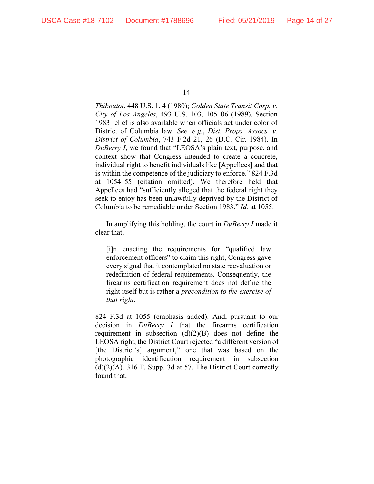*Thiboutot*, 448 U.S. 1, 4 (1980); *Golden State Transit Corp. v. City of Los Angeles*, 493 U.S. 103, 105–06 (1989). Section 1983 relief is also available when officials act under color of District of Columbia law. *See, e.g.*, *Dist. Props. Assocs. v. District of Columbia*, 743 F.2d 21, 26 (D.C. Cir. 1984). In *DuBerry I*, we found that "LEOSA's plain text, purpose, and context show that Congress intended to create a concrete, individual right to benefit individuals like [Appellees] and that is within the competence of the judiciary to enforce." 824 F.3d at 1054–55 (citation omitted). We therefore held that Appellees had "sufficiently alleged that the federal right they seek to enjoy has been unlawfully deprived by the District of Columbia to be remediable under Section 1983." *Id.* at 1055.

In amplifying this holding, the court in *DuBerry I* made it clear that,

[i]n enacting the requirements for "qualified law enforcement officers" to claim this right, Congress gave every signal that it contemplated no state reevaluation or redefinition of federal requirements. Consequently, the firearms certification requirement does not define the right itself but is rather a *precondition to the exercise of that right*.

824 F.3d at 1055 (emphasis added). And, pursuant to our decision in *DuBerry I* that the firearms certification requirement in subsection  $(d)(2)(B)$  does not define the LEOSA right, the District Court rejected "a different version of [the District's] argument," one that was based on the photographic identification requirement in subsection  $(d)(2)(A)$ . 316 F. Supp. 3d at 57. The District Court correctly found that,

<sup>14</sup>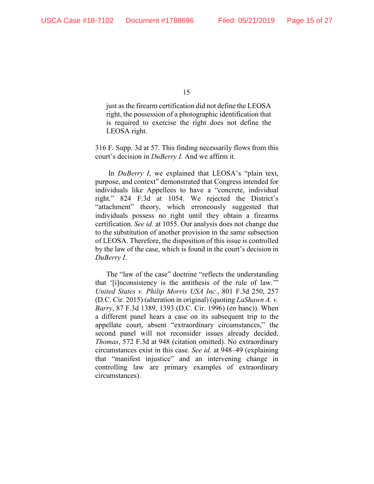just as the firearm certification did not define the LEOSA right, the possession of a photographic identification that is required to exercise the right does not define the LEOSA right.

316 F. Supp. 3d at 57. This finding necessarily flows from this court's decision in *DuBerry I*. And we affirm it.

In *DuBerry I*, we explained that LEOSA's "plain text, purpose, and context" demonstrated that Congress intended for individuals like Appellees to have a "concrete, individual right." 824 F.3d at 1054. We rejected the District's "attachment" theory, which erroneously suggested that individuals possess no right until they obtain a firearms certification. *See id.* at 1055. Our analysis does not change due to the substitution of another provision in the same subsection of LEOSA. Therefore, the disposition of this issue is controlled by the law of the case, which is found in the court's decision in *DuBerry I*.

The "law of the case" doctrine "reflects the understanding that '[i]nconsistency is the antithesis of the rule of law.'" *United States v. Philip Morris USA Inc.*, 801 F.3d 250, 257 (D.C. Cir. 2015) (alteration in original) (quoting *LaShawn A. v. Barry*, 87 F.3d 1389, 1393 (D.C. Cir. 1996) (en banc)). When a different panel hears a case on its subsequent trip to the appellate court, absent "extraordinary circumstances," the second panel will not reconsider issues already decided. *Thomas*, 572 F.3d at 948 (citation omitted). No extraordinary circumstances exist in this case. *See id.* at 948–49 (explaining that "manifest injustice" and an intervening change in controlling law are primary examples of extraordinary circumstances).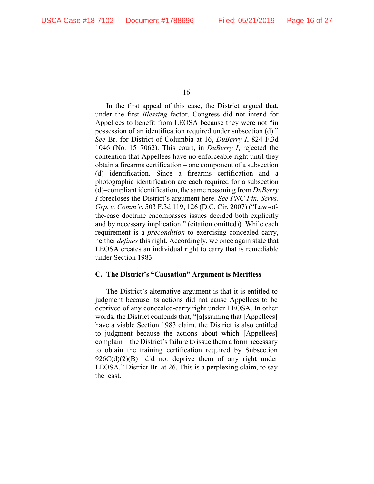In the first appeal of this case, the District argued that, under the first *Blessing* factor, Congress did not intend for Appellees to benefit from LEOSA because they were not "in possession of an identification required under subsection (d)." *See* Br. for District of Columbia at 16, *DuBerry I*, 824 F.3d 1046 (No. 15–7062). This court, in *DuBerry I*, rejected the contention that Appellees have no enforceable right until they obtain a firearms certification – one component of a subsection (d) identification. Since a firearms certification and a photographic identification are each required for a subsection (d)–compliant identification, the same reasoning from *DuBerry I* forecloses the District's argument here. *See PNC Fin. Servs. Grp. v. Comm'r*, 503 F.3d 119, 126 (D.C. Cir. 2007) ("Law-ofthe-case doctrine encompasses issues decided both explicitly and by necessary implication." (citation omitted)). While each requirement is a *precondition* to exercising concealed carry, neither *defines* this right. Accordingly, we once again state that LEOSA creates an individual right to carry that is remediable under Section 1983.

# **C. The District's "Causation" Argument is Meritless**

The District's alternative argument is that it is entitled to judgment because its actions did not cause Appellees to be deprived of any concealed-carry right under LEOSA. In other words, the District contends that, "[a]ssuming that [Appellees] have a viable Section 1983 claim, the District is also entitled to judgment because the actions about which [Appellees] complain—the District's failure to issue them a form necessary to obtain the training certification required by Subsection  $926C(d)(2)(B)$ —did not deprive them of any right under LEOSA." District Br. at 26. This is a perplexing claim, to say the least.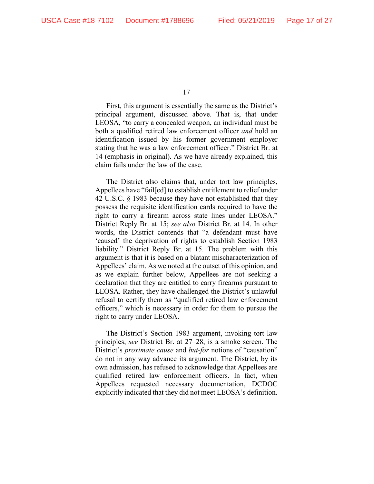First, this argument is essentially the same as the District's principal argument, discussed above. That is, that under LEOSA, "to carry a concealed weapon, an individual must be both a qualified retired law enforcement officer *and* hold an identification issued by his former government employer stating that he was a law enforcement officer." District Br. at 14 (emphasis in original). As we have already explained, this claim fails under the law of the case.

The District also claims that, under tort law principles, Appellees have "fail[ed] to establish entitlement to relief under 42 U.S.C. § 1983 because they have not established that they possess the requisite identification cards required to have the right to carry a firearm across state lines under LEOSA." District Reply Br. at 15; *see also* District Br. at 14. In other words, the District contends that "a defendant must have 'caused' the deprivation of rights to establish Section 1983 liability." District Reply Br. at 15. The problem with this argument is that it is based on a blatant mischaracterization of Appellees' claim. As we noted at the outset of this opinion, and as we explain further below, Appellees are not seeking a declaration that they are entitled to carry firearms pursuant to LEOSA. Rather, they have challenged the District's unlawful refusal to certify them as "qualified retired law enforcement officers," which is necessary in order for them to pursue the right to carry under LEOSA.

The District's Section 1983 argument, invoking tort law principles, *see* District Br. at 27–28, is a smoke screen. The District's *proximate cause* and *but-for* notions of "causation" do not in any way advance its argument. The District, by its own admission, has refused to acknowledge that Appellees are qualified retired law enforcement officers. In fact, when Appellees requested necessary documentation, DCDOC explicitly indicated that they did not meet LEOSA's definition.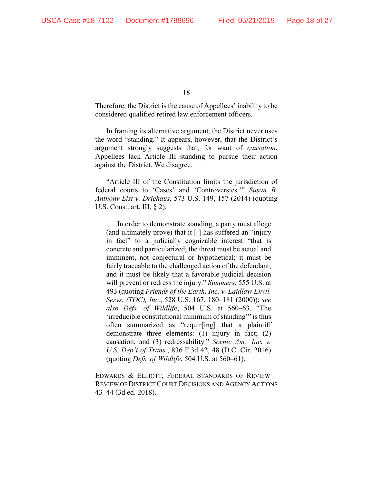Therefore, the District is the cause of Appellees' inability to be considered qualified retired law enforcement officers.

In framing its alternative argument, the District never uses the word "standing." It appears, however, that the District's argument strongly suggests that, for want of *causation*, Appellees lack Article III standing to pursue their action against the District. We disagree.

"Article III of the Constitution limits the jurisdiction of federal courts to 'Cases' and 'Controversies.'" *Susan B. Anthony List v. Driehaus*, 573 U.S. 149, 157 (2014) (quoting U.S. Const. art. III,  $\S$  2).

In order to demonstrate standing, a party must allege (and ultimately prove) that it  $\lceil \cdot \rceil$  has suffered an "injury in fact" to a judicially cognizable interest "that is concrete and particularized; the threat must be actual and imminent, not conjectural or hypothetical; it must be fairly traceable to the challenged action of the defendant; and it must be likely that a favorable judicial decision will prevent or redress the injury." *Summers*, 555 U.S. at 493 (quoting *Friends of the Earth, Inc. v. Laidlaw Envtl. Servs. (TOC), Inc.*, 528 U.S. 167, 180–181 (2000)); *see also Defs. of Wildlife*, 504 U.S. at 560–63. "The 'irreducible constitutional minimum of standing'" is thus often summarized as "requir[ing] that a plaintiff demonstrate three elements: (1) injury in fact; (2) causation; and (3) redressability." *Scenic Am., Inc. v. U.S. Dep't of Trans.*, 836 F.3d 42, 48 (D.C. Cir. 2016) (quoting *Defs. of Wildlife*, 504 U.S. at 560–61).

EDWARDS & ELLIOTT, FEDERAL STANDARDS OF REVIEW— REVIEW OF DISTRICT COURT DECISIONS AND AGENCY ACTIONS 43–44 (3d ed. 2018).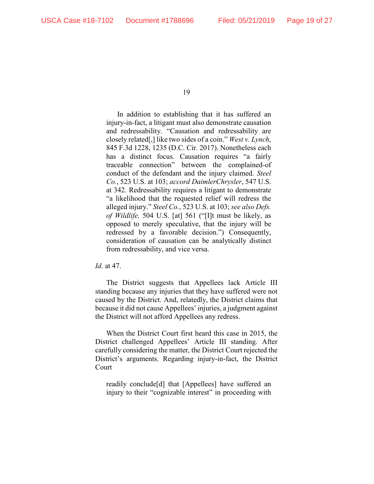In addition to establishing that it has suffered an injury-in-fact, a litigant must also demonstrate causation and redressability. "Causation and redressability are closely related[,] like two sides of a coin." *West v. Lynch*, 845 F.3d 1228, 1235 (D.C. Cir. 2017). Nonetheless each has a distinct focus. Causation requires "a fairly traceable connection" between the complained-of conduct of the defendant and the injury claimed. *Steel Co.*, 523 U.S. at 103; *accord DaimlerChrysler*, 547 U.S. at 342. Redressability requires a litigant to demonstrate "a likelihood that the requested relief will redress the alleged injury." *Steel Co.*, 523 U.S. at 103; *see also Defs. of Wildlife,* 504 U.S. [at] 561 ("[I]t must be likely, as opposed to merely speculative, that the injury will be redressed by a favorable decision.") Consequently, consideration of causation can be analytically distinct from redressability, and vice versa.

*Id.* at 47.

The District suggests that Appellees lack Article III standing because any injuries that they have suffered were not caused by the District. And, relatedly, the District claims that because it did not cause Appellees' injuries, a judgment against the District will not afford Appellees any redress.

When the District Court first heard this case in 2015, the District challenged Appellees' Article III standing. After carefully considering the matter, the District Court rejected the District's arguments. Regarding injury-in-fact, the District Court

readily conclude[d] that [Appellees] have suffered an injury to their "cognizable interest" in proceeding with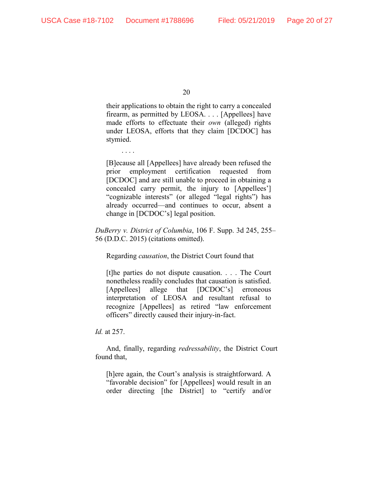their applications to obtain the right to carry a concealed firearm, as permitted by LEOSA. . . . [Appellees] have made efforts to effectuate their *own* (alleged) rights under LEOSA, efforts that they claim [DCDOC] has stymied.

[B]ecause all [Appellees] have already been refused the prior employment certification requested from [DCDOC] and are still unable to proceed in obtaining a concealed carry permit, the injury to [Appellees'] "cognizable interests" (or alleged "legal rights") has already occurred—and continues to occur, absent a change in [DCDOC's] legal position.

*DuBerry v. District of Columbia*, 106 F. Supp. 3d 245, 255– 56 (D.D.C. 2015) (citations omitted).

Regarding *causation*, the District Court found that

[t]he parties do not dispute causation. . . . The Court nonetheless readily concludes that causation is satisfied. [Appellees] allege that [DCDOC's] erroneous interpretation of LEOSA and resultant refusal to recognize [Appellees] as retired "law enforcement officers" directly caused their injury-in-fact.

*Id.* at 257.

. . . .

And, finally, regarding *redressability*, the District Court found that,

[h]ere again, the Court's analysis is straightforward. A "favorable decision" for [Appellees] would result in an order directing [the District] to "certify and/or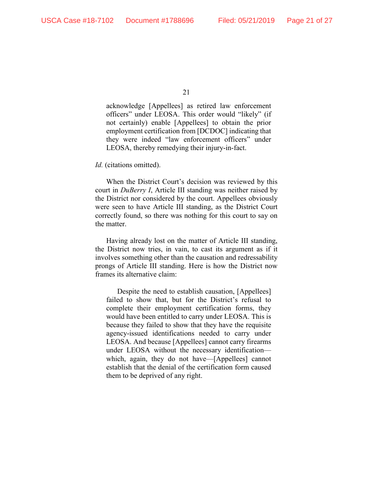acknowledge [Appellees] as retired law enforcement officers" under LEOSA. This order would "likely" (if not certainly) enable [Appellees] to obtain the prior employment certification from [DCDOC] indicating that they were indeed "law enforcement officers" under LEOSA, thereby remedying their injury-in-fact.

*Id.* (citations omitted).

When the District Court's decision was reviewed by this court in *DuBerry I*, Article III standing was neither raised by the District nor considered by the court. Appellees obviously were seen to have Article III standing, as the District Court correctly found, so there was nothing for this court to say on the matter.

Having already lost on the matter of Article III standing, the District now tries, in vain, to cast its argument as if it involves something other than the causation and redressability prongs of Article III standing. Here is how the District now frames its alternative claim:

Despite the need to establish causation, [Appellees] failed to show that, but for the District's refusal to complete their employment certification forms, they would have been entitled to carry under LEOSA. This is because they failed to show that they have the requisite agency-issued identifications needed to carry under LEOSA. And because [Appellees] cannot carry firearms under LEOSA without the necessary identification which, again, they do not have—[Appellees] cannot establish that the denial of the certification form caused them to be deprived of any right.

<sup>21</sup>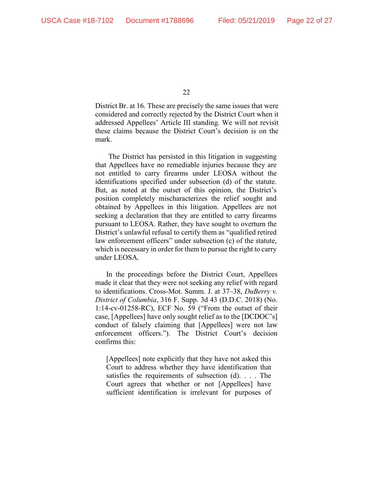District Br. at 16. These are precisely the same issues that were considered and correctly rejected by the District Court when it addressed Appellees' Article III standing. We will not revisit these claims because the District Court's decision is on the mark.

The District has persisted in this litigation in suggesting that Appellees have no remediable injuries because they are not entitled to carry firearms under LEOSA without the identifications specified under subsection (d) of the statute. But, as noted at the outset of this opinion, the District's position completely mischaracterizes the relief sought and obtained by Appellees in this litigation. Appellees are not seeking a declaration that they are entitled to carry firearms pursuant to LEOSA. Rather, they have sought to overturn the District's unlawful refusal to certify them as "qualified retired law enforcement officers" under subsection (c) of the statute, which is necessary in order for them to pursue the right to carry under LEOSA.

In the proceedings before the District Court, Appellees made it clear that they were not seeking any relief with regard to identifications. Cross-Mot. Summ. J. at 37–38, *DuBerry v. District of Columbia*, 316 F. Supp. 3d 43 (D.D.C. 2018) (No. 1:14-cv-01258-RC), ECF No. 59 ("From the outset of their case, [Appellees] have only sought relief as to the [DCDOC's] conduct of falsely claiming that [Appellees] were not law enforcement officers."). The District Court's decision confirms this:

[Appellees] note explicitly that they have not asked this Court to address whether they have identification that satisfies the requirements of subsection (d). . . . The Court agrees that whether or not [Appellees] have sufficient identification is irrelevant for purposes of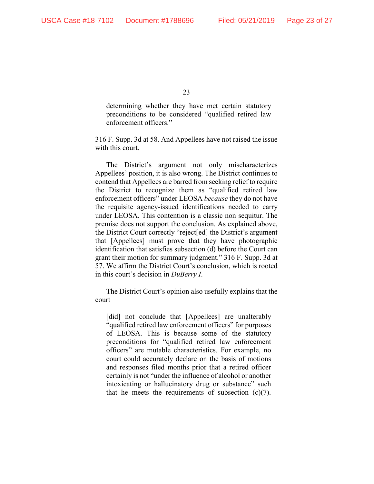determining whether they have met certain statutory preconditions to be considered "qualified retired law enforcement officers."

316 F. Supp. 3d at 58. And Appellees have not raised the issue with this court.

The District's argument not only mischaracterizes Appellees' position, it is also wrong. The District continues to contend that Appellees are barred from seeking relief to require the District to recognize them as "qualified retired law enforcement officers" under LEOSA *because* they do not have the requisite agency-issued identifications needed to carry under LEOSA. This contention is a classic non sequitur. The premise does not support the conclusion. As explained above, the District Court correctly "reject[ed] the District's argument that [Appellees] must prove that they have photographic identification that satisfies subsection (d) before the Court can grant their motion for summary judgment." 316 F. Supp. 3d at 57. We affirm the District Court's conclusion, which is rooted in this court's decision in *DuBerry I*.

The District Court's opinion also usefully explains that the court

[did] not conclude that [Appellees] are unalterably "qualified retired law enforcement officers" for purposes of LEOSA. This is because some of the statutory preconditions for "qualified retired law enforcement officers" are mutable characteristics. For example, no court could accurately declare on the basis of motions and responses filed months prior that a retired officer certainly is not "under the influence of alcohol or another intoxicating or hallucinatory drug or substance" such that he meets the requirements of subsection  $(c)(7)$ .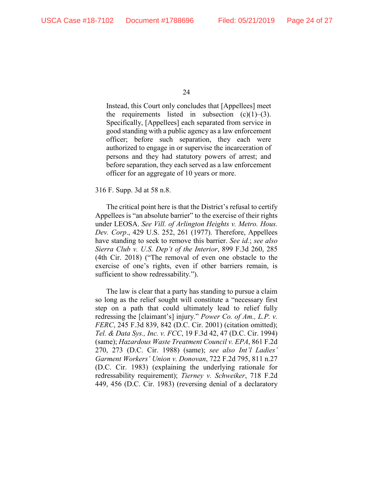Instead, this Court only concludes that [Appellees] meet the requirements listed in subsection  $(c)(1)$ – $(3)$ . Specifically, [Appellees] each separated from service in good standing with a public agency as a law enforcement officer; before such separation, they each were authorized to engage in or supervise the incarceration of persons and they had statutory powers of arrest; and before separation, they each served as a law enforcement officer for an aggregate of 10 years or more.

#### 316 F. Supp. 3d at 58 n.8.

The critical point here is that the District's refusal to certify Appellees is "an absolute barrier" to the exercise of their rights under LEOSA. *See Vill. of Arlington Heights v. Metro. Hous. Dev. Corp*., 429 U.S. 252, 261 (1977). Therefore, Appellees have standing to seek to remove this barrier. *See id.*; *see also Sierra Club v. U.S. Dep't of the Interior*, 899 F.3d 260, 285 (4th Cir. 2018) ("The removal of even one obstacle to the exercise of one's rights, even if other barriers remain, is sufficient to show redressability.").

The law is clear that a party has standing to pursue a claim so long as the relief sought will constitute a "necessary first step on a path that could ultimately lead to relief fully redressing the [claimant's] injury." *Power Co. of Am., L.P. v. FERC*, 245 F.3d 839, 842 (D.C. Cir. 2001) (citation omitted); *Tel. & Data Sys., Inc. v. FCC*, 19 F.3d 42, 47 (D.C. Cir. 1994) (same); *Hazardous Waste Treatment Council v. EPA*, 861 F.2d 270, 273 (D.C. Cir. 1988) (same); *see also Int'l Ladies' Garment Workers' Union v. Donovan*, 722 F.2d 795, 811 n.27 (D.C. Cir. 1983) (explaining the underlying rationale for redressability requirement); *Tierney v. Schweiker*, 718 F.2d 449, 456 (D.C. Cir. 1983) (reversing denial of a declaratory

<sup>24</sup>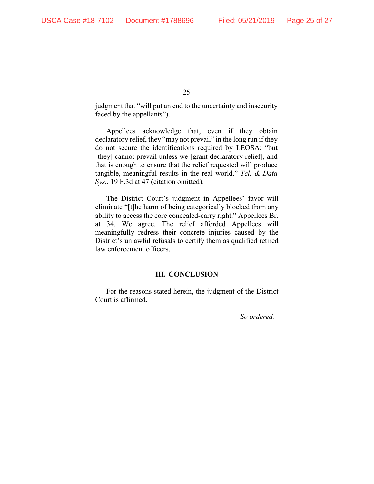judgment that "will put an end to the uncertainty and insecurity faced by the appellants").

Appellees acknowledge that, even if they obtain declaratory relief, they "may not prevail" in the long run if they do not secure the identifications required by LEOSA; "but [they] cannot prevail unless we [grant declaratory relief], and that is enough to ensure that the relief requested will produce tangible, meaningful results in the real world." *Tel. & Data Sys.*, 19 F.3d at 47 (citation omitted).

The District Court's judgment in Appellees' favor will eliminate "[t]he harm of being categorically blocked from any ability to access the core concealed-carry right." Appellees Br. at 34. We agree. The relief afforded Appellees will meaningfully redress their concrete injuries caused by the District's unlawful refusals to certify them as qualified retired law enforcement officers.

#### **III. CONCLUSION**

For the reasons stated herein, the judgment of the District Court is affirmed.

*So ordered.*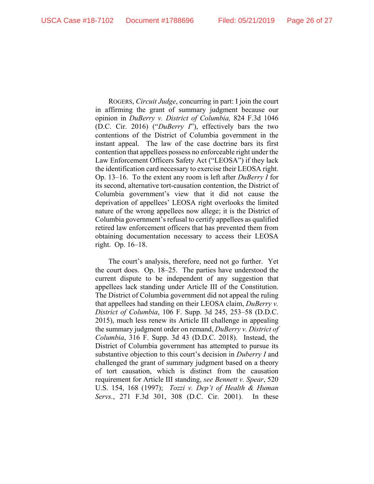ROGERS, *Circuit Judge*, concurring in part: I join the court in affirming the grant of summary judgment because our opinion in *DuBerry v. District of Columbia,* 824 F.3d 1046 (D.C. Cir. 2016) ("*DuBerry I*"), effectively bars the two contentions of the District of Columbia government in the instant appeal. The law of the case doctrine bars its first contention that appellees possess no enforceable right under the Law Enforcement Officers Safety Act ("LEOSA") if they lack the identification card necessary to exercise their LEOSA right. Op. 13–16. To the extent any room is left after *DuBerry I* for its second, alternative tort-causation contention, the District of Columbia government's view that it did not cause the deprivation of appellees' LEOSA right overlooks the limited nature of the wrong appellees now allege; it is the District of Columbia government's refusal to certify appellees as qualified retired law enforcement officers that has prevented them from obtaining documentation necessary to access their LEOSA right. Op. 16–18.

The court's analysis, therefore, need not go further. Yet the court does. Op. 18–25. The parties have understood the current dispute to be independent of any suggestion that appellees lack standing under Article III of the Constitution. The District of Columbia government did not appeal the ruling that appellees had standing on their LEOSA claim, *DuBerry v. District of Columbia*, 106 F. Supp. 3d 245, 253–58 (D.D.C. 2015), much less renew its Article III challenge in appealing the summary judgment order on remand, *DuBerry v. District of Columbia*, 316 F. Supp. 3d 43 (D.D.C. 2018). Instead, the District of Columbia government has attempted to pursue its substantive objection to this court's decision in *Duberry I* and challenged the grant of summary judgment based on a theory of tort causation, which is distinct from the causation requirement for Article III standing, *see Bennett v. Spear*, 520 U.S. 154, 168 (1997); *Tozzi v. Dep't of Health & Human Servs.*, 271 F.3d 301, 308 (D.C. Cir. 2001). In these